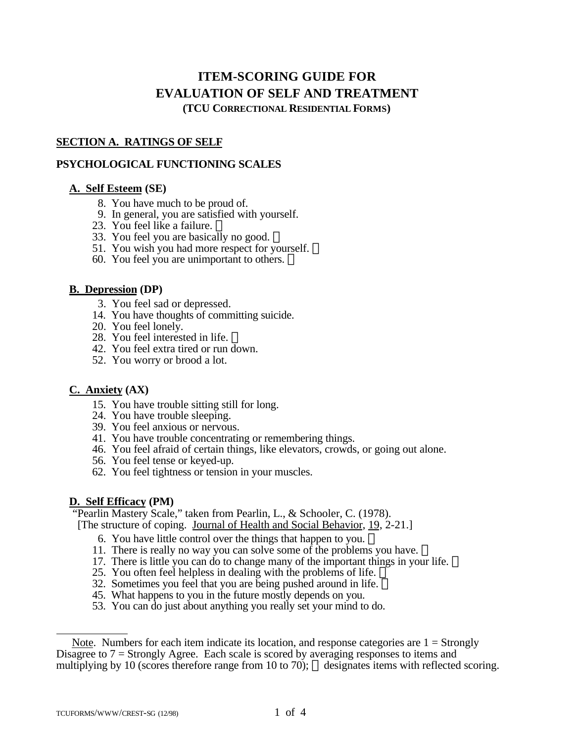# **ITEM-SCORING GUIDE FOR EVALUATION OF SELF AND TREATMENT (TCU CORRECTIONAL RESIDENTIAL FORMS)**

## **SECTION A. RATINGS OF SELF**

## **PSYCHOLOGICAL FUNCTIONING SCALES**

## **A. Self Esteem (SE)**

- 8. You have much to be proud of.
- 9. In general, you are satisfied with yourself.
- 23. You feel like a failure.
- 33. You feel you are basically no good.
- 51. You wish you had more respect for yourself.  $\mathbb{R}$
- 60. You feel you are unimportant to others.  $\mathbb{R}$

#### **B. Depression (DP)**

- 3. You feel sad or depressed.
- 14. You have thoughts of committing suicide.
- 20. You feel lonely.
- 28. You feel interested in life.  $\mathbb{R}$
- 42. You feel extra tired or run down.
- 52. You worry or brood a lot.

## **C. Anxiety (AX)**

- 15. You have trouble sitting still for long.
- 24. You have trouble sleeping.
- 39. You feel anxious or nervous.
- 41. You have trouble concentrating or remembering things.
- 46. You feel afraid of certain things, like elevators, crowds, or going out alone.
- 56. You feel tense or keyed-up.
- 62. You feel tightness or tension in your muscles.

## **D. Self Efficacy (PM)**

 "Pearlin Mastery Scale," taken from Pearlin, L., & Schooler, C. (1978). [The structure of coping. Journal of Health and Social Behavior, 19, 2-21.]

- 6. You have little control over the things that happen to you.
- 11. There is really no way you can solve some of the problems you have.
- 17. There is little you can do to change many of the important things in your life.
- 25. You often feel helpless in dealing with the problems of life.  $\overline{\mathbb{D}}$
- 32. Sometimes you feel that you are being pushed around in life.
- 45. What happens to you in the future mostly depends on you.
- 53. You can do just about anything you really set your mind to do.

 $\overline{a}$ 

Note. Numbers for each item indicate its location, and response categories are  $1 =$  Strongly Disagree to 7 = Strongly Agree. Each scale is scored by averaging responses to items and multiplying by 10 (scores therefore range from 10 to 70);  $\circledR$  designates items with reflected scoring.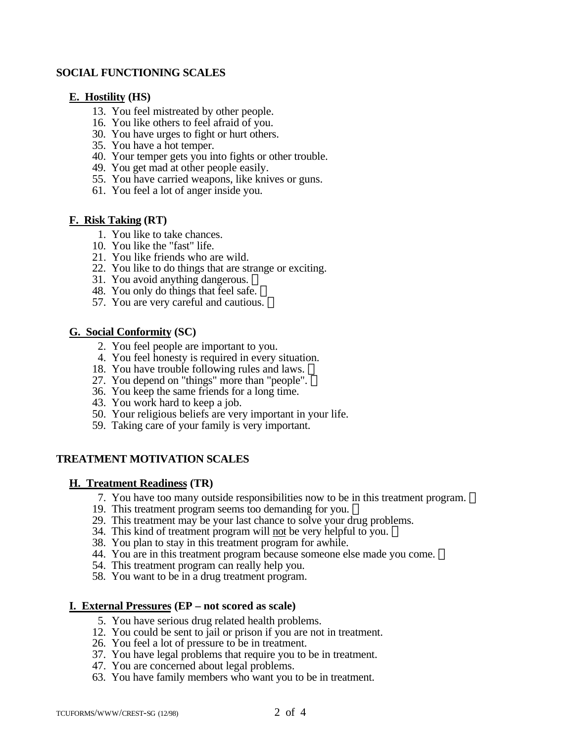#### **SOCIAL FUNCTIONING SCALES**

#### **E. Hostility (HS)**

- 13. You feel mistreated by other people.
- 16. You like others to feel afraid of you.
- 30. You have urges to fight or hurt others.
- 35. You have a hot temper.
- 40. Your temper gets you into fights or other trouble.
- 49. You get mad at other people easily.
- 55. You have carried weapons, like knives or guns.
- 61. You feel a lot of anger inside you.

#### **F. Risk Taking (RT)**

- 1. You like to take chances.
- 10. You like the "fast" life.
- 21. You like friends who are wild.
- 22. You like to do things that are strange or exciting.
- 31. You avoid anything dangerous.
- 48. You only do things that feel safe.
- 57. You are very careful and cautious.

#### **G. Social Conformity (SC)**

- 2. You feel people are important to you.
- 4. You feel honesty is required in every situation.
- 18. You have trouble following rules and laws. ®
- 27. You depend on "things" more than "people".
- 36. You keep the same friends for a long time.
- 43. You work hard to keep a job.
- 50. Your religious beliefs are very important in your life.
- 59. Taking care of your family is very important.

## **TREATMENT MOTIVATION SCALES**

#### **H. Treatment Readiness (TR)**

- 7. You have too many outside responsibilities now to be in this treatment program.
- 19. This treatment program seems too demanding for you.
- 29. This treatment may be your last chance to solve your drug problems.
- 34. This kind of treatment program will not be very helpful to you.
- 38. You plan to stay in this treatment program for awhile.
- 44. You are in this treatment program because someone else made you come. ®
- 54. This treatment program can really help you.
- 58. You want to be in a drug treatment program.

#### **I. External Pressures (EP – not scored as scale)**

- 5. You have serious drug related health problems.
- 12. You could be sent to jail or prison if you are not in treatment.
- 26. You feel a lot of pressure to be in treatment.
- 37. You have legal problems that require you to be in treatment.
- 47. You are concerned about legal problems.
- 63. You have family members who want you to be in treatment.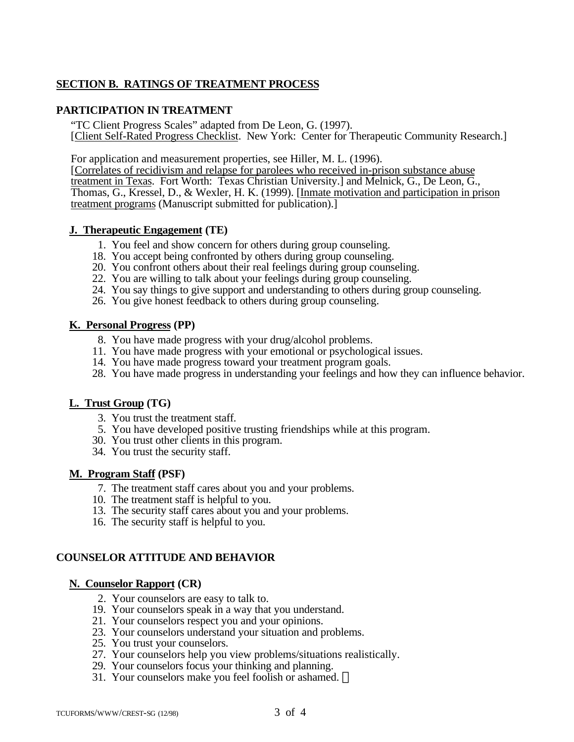## **SECTION B. RATINGS OF TREATMENT PROCESS**

## **PARTICIPATION IN TREATMENT**

"TC Client Progress Scales" adapted from De Leon, G. (1997). [Client Self-Rated Progress Checklist. New York: Center for Therapeutic Community Research.]

For application and measurement properties, see Hiller, M. L. (1996).

[Correlates of recidivism and relapse for parolees who received in-prison substance abuse treatment in Texas. Fort Worth: Texas Christian University.] and Melnick, G., De Leon, G., Thomas, G., Kressel, D., & Wexler, H. K. (1999). [Inmate motivation and participation in prison treatment programs (Manuscript submitted for publication).]

## **J. Therapeutic Engagement (TE)**

- 1. You feel and show concern for others during group counseling.
- 18. You accept being confronted by others during group counseling.
- 20. You confront others about their real feelings during group counseling.
- 22. You are willing to talk about your feelings during group counseling.
- 24. You say things to give support and understanding to others during group counseling.
- 26. You give honest feedback to others during group counseling.

## **K. Personal Progress (PP)**

- 8. You have made progress with your drug/alcohol problems.
- 11. You have made progress with your emotional or psychological issues.
- 14. You have made progress toward your treatment program goals.
- 28. You have made progress in understanding your feelings and how they can influence behavior.

## **L. Trust Group (TG)**

- 3. You trust the treatment staff.
- 5. You have developed positive trusting friendships while at this program.
- 30. You trust other clients in this program.
- 34. You trust the security staff.

## **M. Program Staff (PSF)**

- 7. The treatment staff cares about you and your problems.
- 10. The treatment staff is helpful to you.
- 13. The security staff cares about you and your problems.
- 16. The security staff is helpful to you.

## **COUNSELOR ATTITUDE AND BEHAVIOR**

## **N. Counselor Rapport (CR)**

- 2. Your counselors are easy to talk to.
- 19. Your counselors speak in a way that you understand.
- 21. Your counselors respect you and your opinions.
- 23. Your counselors understand your situation and problems.
- 25. You trust your counselors.
- 27. Your counselors help you view problems/situations realistically.
- 29. Your counselors focus your thinking and planning.
- 31. Your counselors make you feel foolish or ashamed.